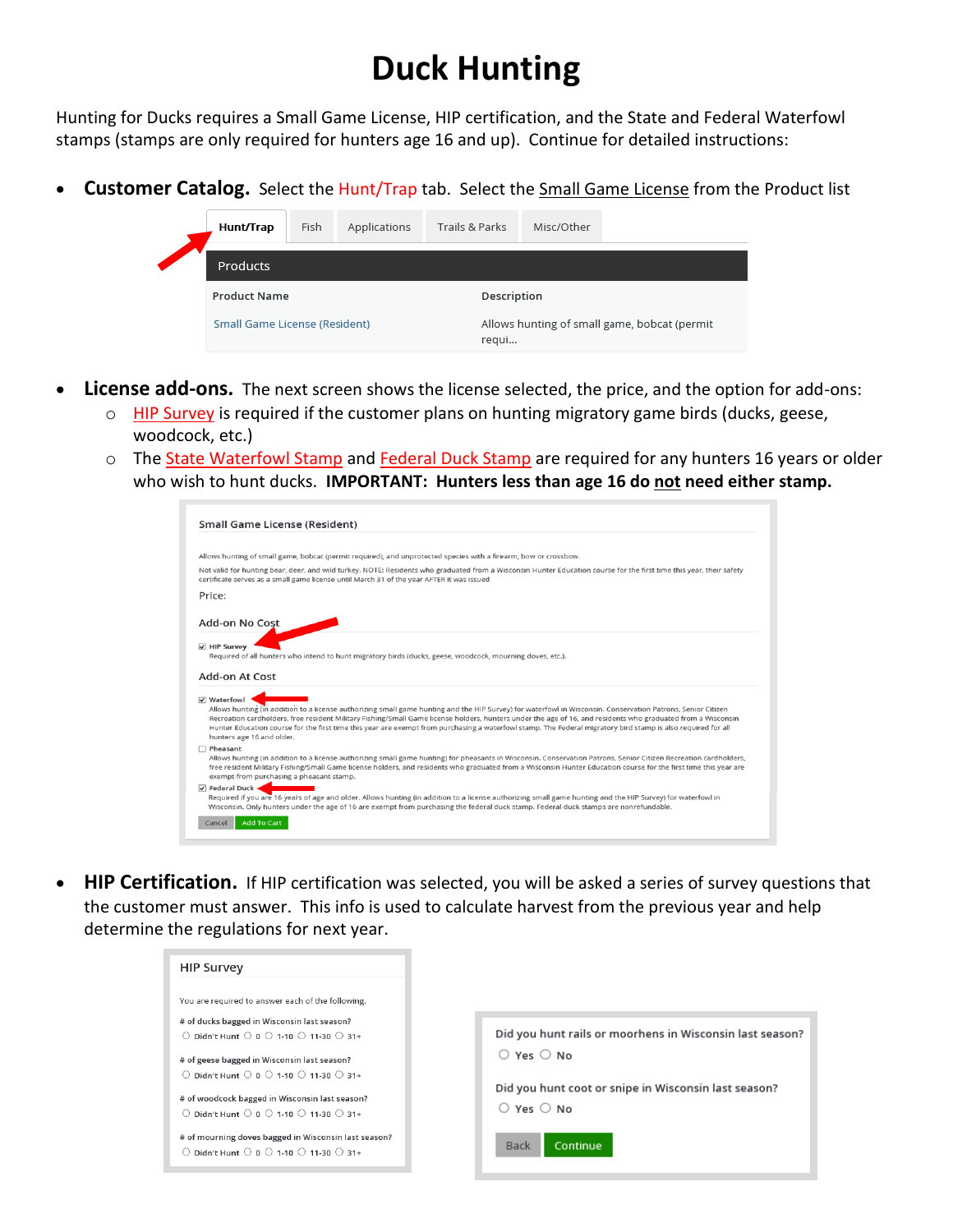## **Duck Hunting**

Hunting for Ducks requires a Small Game License, HIP certification, and the State and Federal Waterfowl stamps (stamps are only required for hunters age 16 and up). Continue for detailed instructions:

• **Customer Catalog.** Select the Hunt/Trap tab. Select the Small Game License from the Product list



- **License add-ons.** The next screen shows the license selected, the price, and the option for add-ons:
	- o HIP Survey is required if the customer plans on hunting migratory game birds (ducks, geese, woodcock, etc.)
	- o The State Waterfowl Stamp and Federal Duck Stamp are required for any hunters 16 years or older who wish to hunt ducks. **IMPORTANT: Hunters less than age 16 do not need either stamp.**

| Small Game License (Resident)                                                                                                                                                                                                                                                                                                                                                                                                                                                                                                                   |
|-------------------------------------------------------------------------------------------------------------------------------------------------------------------------------------------------------------------------------------------------------------------------------------------------------------------------------------------------------------------------------------------------------------------------------------------------------------------------------------------------------------------------------------------------|
|                                                                                                                                                                                                                                                                                                                                                                                                                                                                                                                                                 |
| Allows hunting of small game, bobcat (permit required), and unprotected species with a firearm, bow or crossbow.                                                                                                                                                                                                                                                                                                                                                                                                                                |
| Not valid for hunting bear, deer, and wild turkey. NOTE: Residents who graduated from a Wisconsin Hunter Education course for the first time this year, their safety<br>certificate serves as a small game license until March 31 of the year AFTER it was issued                                                                                                                                                                                                                                                                               |
| Price:                                                                                                                                                                                                                                                                                                                                                                                                                                                                                                                                          |
| Add-on No Cost                                                                                                                                                                                                                                                                                                                                                                                                                                                                                                                                  |
| <b>√ HIP Survey</b><br>Required of all hunters who intend to hunt migratory birds (ducks, geese, woodcock, mourning doves, etc.).<br><b>Add-on At Cost</b>                                                                                                                                                                                                                                                                                                                                                                                      |
| <b>▽ Waterfowl</b><br>Allows hunting (in addition to a license authorizing small game hunting and the HIP Survey) for waterfowl in Wisconsin. Conservation Patrons, Senior Citizen<br>Recreation cardholders, free resident Military Fishing/Small Game license holders, hunters under the age of 16, and residents who graduated from a Wisconsin<br>Hunter Education course for the first time this year are exempt from purchasing a waterfowl stamp. The Federal migratory bird stamp is also required for all<br>hunters age 16 and older. |
| Pheasant<br>Allows hunting (in addition to a license authorizing small game hunting) for pheasants in Wisconsin. Conservation Patrons, Senior Citizen Recreation cardholders,<br>free resident Military Fishing/Small Game license holders, and residents who graduated from a Wisconsin Hunter Education course for the first time this year are<br>exempt from purchasing a pheasant stamp.                                                                                                                                                   |
| <b>V</b> Federal Duck -<br>Required if you are 16 years of age and older. Allows hunting (in addition to a license authorizing small game hunting and the HIP Survey) for waterfowl in<br>Wisconsin. Only hunters under the age of 16 are exempt from purchasing the federal duck stamp. Federal duck stamps are nonrefundable.                                                                                                                                                                                                                 |
| Add To Cart<br>Cancel                                                                                                                                                                                                                                                                                                                                                                                                                                                                                                                           |

• **HIP Certification.** If HIP certification was selected, you will be asked a series of survey questions that the customer must answer. This info is used to calculate harvest from the previous year and help determine the regulations for next year.

| <b>HIP Survey</b>                                                                                                                                                                                                   |                                                                                      |
|---------------------------------------------------------------------------------------------------------------------------------------------------------------------------------------------------------------------|--------------------------------------------------------------------------------------|
| You are required to answer each of the following.<br># of ducks bagged in Wisconsin last season?<br>Didn't Hunt $\bigcirc$ 0 $\bigcirc$ 1-10 $\bigcirc$ 11-30 $\bigcirc$ 31+                                        | Did you hunt rails or moorhens in Wisconsin last season?                             |
| # of geese bagged in Wisconsin last season?<br>$\bigcirc$ Didn't Hunt $\bigcirc$ 0 $\bigcirc$ 1-10 $\bigcirc$ 11-30 $\bigcirc$ 31+<br># of woodcock bagged in Wisconsin last season?                                | $\bigcirc$ Yes $\bigcirc$ No<br>Did you hunt coot or snipe in Wisconsin last season? |
| $\bigcirc$ Didn't Hunt $\bigcirc$ 0 $\bigcirc$ 1-10 $\bigcirc$ 11-30 $\bigcirc$ 31+<br># of mourning doves bagged in Wisconsin last season?<br>$\circ$ Didn't Hunt $\circ$ 0 $\circ$ 1-10 $\circ$ 11-30 $\circ$ 31+ | $\bigcirc$ Yes $\bigcirc$ No<br><b>Back</b><br>Continue                              |